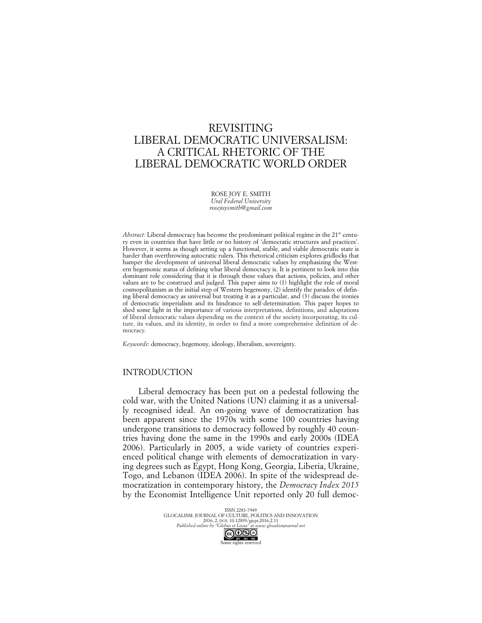# REVISITING LIBERAL DEMOCRATIC UNIVERSALISM: A CRITICAL RHETORIC OF THE LIBERAL DEMOCRATIC WORLD ORDER

ROSE JOY E. SMITH *Ural Federal University rosejoysmith@gmail.com*

*Abstract:* Liberal democracy has become the predominant political regime in the 21<sup>st</sup> century even in countries that have little or no history of 'democratic structures and practices'. However, it seems as though setting up a functional, stable, and viable democratic state is harder than overthrowing autocratic rulers. This rhetorical criticism explores gridlocks that hamper the development of universal liberal democratic values by emphasizing the Western hegemonic status of defining what liberal democracy is. It is pertinent to look into this dominant role considering that it is through these values that actions, policies, and other values are to be construed and judged. This paper aims to (1) highlight the role of moral cosmopolitanism as the initial step of Western hegemony, (2) identify the paradox of defining liberal democracy as universal but treating it as a particular, and (3) discuss the ironies of democratic imperialism and its hindrance to self-determination. This paper hopes to shed some light in the importance of various interpretations, definitions, and adaptations of liberal democratic values depending on the context of the society incorporating, its culture, its values, and its identity, in order to find a more comprehensive definition of democracy.

*Keywords*: democracy, hegemony, ideology, liberalism, sovereignty.

# INTRODUCTION

Liberal democracy has been put on a pedestal following the cold war, with the United Nations (UN) claiming it as a universally recognised ideal. An on-going wave of democratization has been apparent since the 1970s with some 100 countries having undergone transitions to democracy followed by roughly 40 countries having done the same in the 1990s and early 2000s (IDEA 2006). Particularly in 2005, a wide variety of countries experienced political change with elements of democratization in varying degrees such as Egypt, Hong Kong, Georgia, Liberia, Ukraine, Togo, and Lebanon (IDEA 2006). In spite of the widespread democratization in contemporary history, the *Democracy Index 2015* by the Economist Intelligence Unit reported only 20 full democ-

> ISSN 2283-7949 GLOCALISM: JOURNAL OF CULTURE, POLITICS AND INNOVATION 2016, 2, DOI: 10.12893/gjcpi.2016.2.11 *Published online by "Globus et Locus" at www.glocalismjournal.net*  $0$   $\circledcirc$   $\circledcirc$ Some rights reserved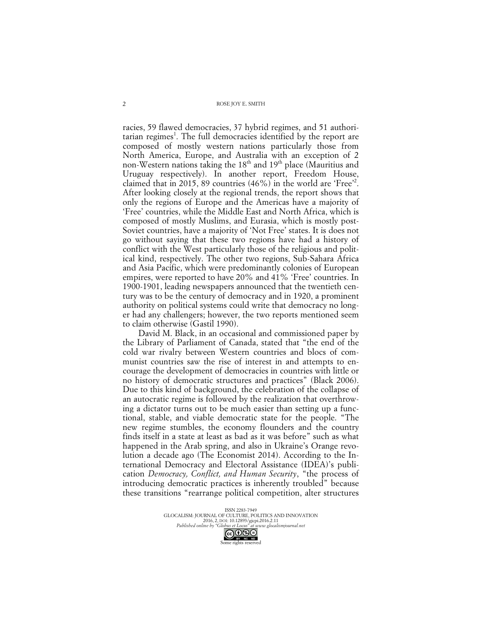racies, 59 flawed democracies, 37 hybrid regimes, and 51 authoritarian regimes<sup>1</sup>. The full democracies identified by the report are composed of mostly western nations particularly those from North America, Europe, and Australia with an exception of 2 non-Western nations taking the 18<sup>th</sup> and 19<sup>th</sup> place (Mauritius and Uruguay respectively). In another report, Freedom House, claimed that in 2015, 89 countries (46%) in the world are 'Free' 2 . After looking closely at the regional trends, the report shows that only the regions of Europe and the Americas have a majority of 'Free' countries, while the Middle East and North Africa, which is composed of mostly Muslims, and Eurasia, which is mostly post-Soviet countries, have a majority of 'Not Free' states. It is does not go without saying that these two regions have had a history of conflict with the West particularly those of the religious and political kind, respectively. The other two regions, Sub-Sahara Africa and Asia Pacific, which were predominantly colonies of European empires, were reported to have 20% and 41% 'Free' countries. In 1900-1901, leading newspapers announced that the twentieth century was to be the century of democracy and in 1920, a prominent authority on political systems could write that democracy no longer had any challengers; however, the two reports mentioned seem to claim otherwise (Gastil 1990).

David M. Black, in an occasional and commissioned paper by the Library of Parliament of Canada, stated that "the end of the cold war rivalry between Western countries and blocs of communist countries saw the rise of interest in and attempts to encourage the development of democracies in countries with little or no history of democratic structures and practices" (Black 2006). Due to this kind of background, the celebration of the collapse of an autocratic regime is followed by the realization that overthrowing a dictator turns out to be much easier than setting up a functional, stable, and viable democratic state for the people. "The new regime stumbles, the economy flounders and the country finds itself in a state at least as bad as it was before" such as what happened in the Arab spring, and also in Ukraine's Orange revolution a decade ago (The Economist 2014). According to the International Democracy and Electoral Assistance (IDEA)'s publication *Democracy, Conflict, and Human Security*, "the process of introducing democratic practices is inherently troubled" because these transitions "rearrange political competition, alter structures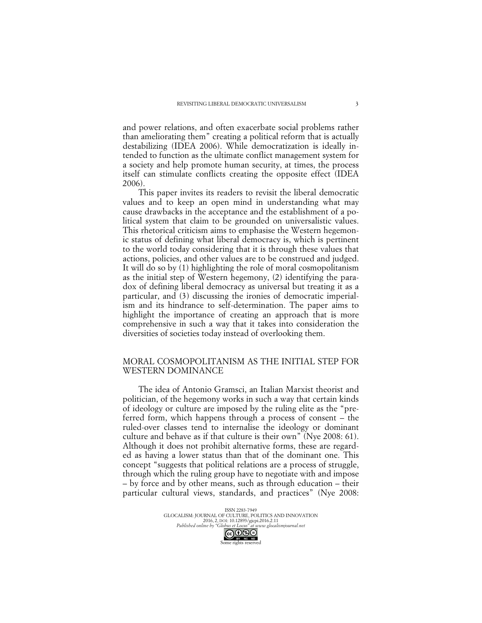and power relations, and often exacerbate social problems rather than ameliorating them" creating a political reform that is actually destabilizing (IDEA 2006). While democratization is ideally intended to function as the ultimate conflict management system for a society and help promote human security, at times, the process itself can stimulate conflicts creating the opposite effect (IDEA 2006).

This paper invites its readers to revisit the liberal democratic values and to keep an open mind in understanding what may cause drawbacks in the acceptance and the establishment of a political system that claim to be grounded on universalistic values. This rhetorical criticism aims to emphasise the Western hegemonic status of defining what liberal democracy is, which is pertinent to the world today considering that it is through these values that actions, policies, and other values are to be construed and judged. It will do so by (1) highlighting the role of moral cosmopolitanism as the initial step of Western hegemony, (2) identifying the paradox of defining liberal democracy as universal but treating it as a particular, and (3) discussing the ironies of democratic imperialism and its hindrance to self-determination. The paper aims to highlight the importance of creating an approach that is more comprehensive in such a way that it takes into consideration the diversities of societies today instead of overlooking them.

## MORAL COSMOPOLITANISM AS THE INITIAL STEP FOR WESTERN DOMINANCE

The idea of Antonio Gramsci, an Italian Marxist theorist and politician, of the hegemony works in such a way that certain kinds of ideology or culture are imposed by the ruling elite as the "preferred form, which happens through a process of consent – the ruled-over classes tend to internalise the ideology or dominant culture and behave as if that culture is their own" (Nye 2008: 61). Although it does not prohibit alternative forms, these are regarded as having a lower status than that of the dominant one. This concept "suggests that political relations are a process of struggle, through which the ruling group have to negotiate with and impose – by force and by other means, such as through education – their particular cultural views, standards, and practices" (Nye 2008:

> ISSN 2283-7949 GLOCALISM: JOURNAL OF CULTURE, POLITICS AND INNOVATION 2016, 2, DOI: 10.12893/gjcpi.2016.2.11 *Published online by "Globus et Locus" at www.glocalismjournal.net*  $\bigcirc$   $\bigcirc$   $\bigcirc$ Some rights reserved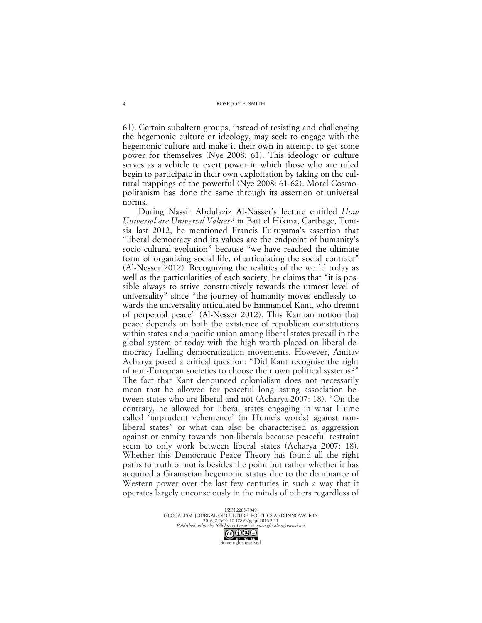61). Certain subaltern groups, instead of resisting and challenging the hegemonic culture or ideology, may seek to engage with the hegemonic culture and make it their own in attempt to get some power for themselves (Nye 2008: 61). This ideology or culture serves as a vehicle to exert power in which those who are ruled begin to participate in their own exploitation by taking on the cultural trappings of the powerful (Nye 2008: 61-62). Moral Cosmopolitanism has done the same through its assertion of universal norms.

During Nassir Abdulaziz Al-Nasser's lecture entitled *How Universal are Universal Values?* in Bait el Hikma, Carthage, Tunisia last 2012, he mentioned Francis Fukuyama's assertion that "liberal democracy and its values are the endpoint of humanity's socio-cultural evolution" because "we have reached the ultimate form of organizing social life, of articulating the social contract" (Al-Nesser 2012). Recognizing the realities of the world today as well as the particularities of each society, he claims that "it is possible always to strive constructively towards the utmost level of universality" since "the journey of humanity moves endlessly towards the universality articulated by Emmanuel Kant, who dreamt of perpetual peace" (Al-Nesser 2012). This Kantian notion that peace depends on both the existence of republican constitutions within states and a pacific union among liberal states prevail in the global system of today with the high worth placed on liberal democracy fuelling democratization movements. However, Amitav Acharya posed a critical question: "Did Kant recognise the right of non-European societies to choose their own political systems?" The fact that Kant denounced colonialism does not necessarily mean that he allowed for peaceful long-lasting association between states who are liberal and not (Acharya 2007: 18). "On the contrary, he allowed for liberal states engaging in what Hume called 'imprudent vehemence' (in Hume's words) against nonliberal states" or what can also be characterised as aggression against or enmity towards non-liberals because peaceful restraint seem to only work between liberal states (Acharya 2007: 18). Whether this Democratic Peace Theory has found all the right paths to truth or not is besides the point but rather whether it has acquired a Gramscian hegemonic status due to the dominance of Western power over the last few centuries in such a way that it operates largely unconsciously in the minds of others regardless of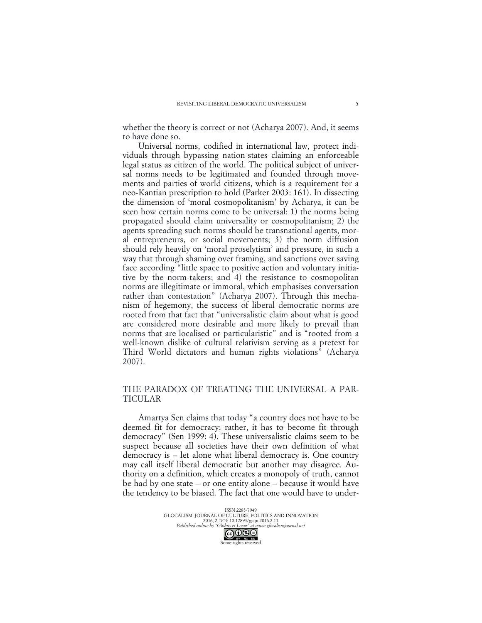whether the theory is correct or not (Acharya 2007). And, it seems to have done so.

Universal norms, codified in international law, protect individuals through bypassing nation-states claiming an enforceable legal status as citizen of the world. The political subject of universal norms needs to be legitimated and founded through movements and parties of world citizens, which is a requirement for a neo-Kantian prescription to hold (Parker 2003: 161). In dissecting the dimension of 'moral cosmopolitanism' by Acharya, it can be seen how certain norms come to be universal: 1) the norms being propagated should claim universality or cosmopolitanism; 2) the agents spreading such norms should be transnational agents, moral entrepreneurs, or social movements; 3) the norm diffusion should rely heavily on 'moral proselytism' and pressure, in such a way that through shaming over framing, and sanctions over saving face according "little space to positive action and voluntary initiative by the norm-takers; and 4) the resistance to cosmopolitan norms are illegitimate or immoral, which emphasises conversation rather than contestation" (Acharya 2007). Through this mechanism of hegemony, the success of liberal democratic norms are rooted from that fact that "universalistic claim about what is good are considered more desirable and more likely to prevail than norms that are localised or particularistic" and is "rooted from a well-known dislike of cultural relativism serving as a pretext for Third World dictators and human rights violations" (Acharya 2007).

# THE PARADOX OF TREATING THE UNIVERSAL A PAR-TICULAR

Amartya Sen claims that today "a country does not have to be deemed fit for democracy; rather, it has to become fit through democracy" (Sen 1999: 4). These universalistic claims seem to be suspect because all societies have their own definition of what democracy is – let alone what liberal democracy is. One country may call itself liberal democratic but another may disagree. Authority on a definition, which creates a monopoly of truth, cannot be had by one state – or one entity alone – because it would have the tendency to be biased. The fact that one would have to under-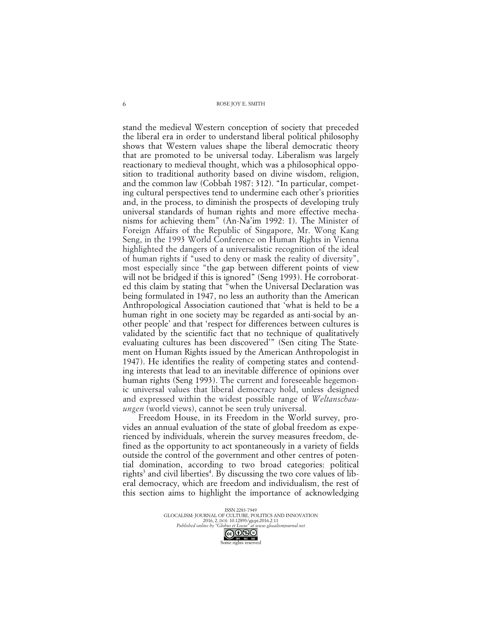ROSE JOY E. SMITH

stand the medieval Western conception of society that preceded the liberal era in order to understand liberal political philosophy shows that Western values shape the liberal democratic theory that are promoted to be universal today. Liberalism was largely reactionary to medieval thought, which was a philosophical opposition to traditional authority based on divine wisdom, religion, and the common law (Cobbah 1987: 312). "In particular, competing cultural perspectives tend to undermine each other's priorities and, in the process, to diminish the prospects of developing truly universal standards of human rights and more effective mechanisms for achieving them" (An-Na'im 1992: 1). The Minister of Foreign Affairs of the Republic of Singapore, Mr. Wong Kang Seng, in the 1993 World Conference on Human Rights in Vienna highlighted the dangers of a universalistic recognition of the ideal of human rights if "used to deny or mask the reality of diversity", most especially since "the gap between different points of view will not be bridged if this is ignored" (Seng 1993). He corroborated this claim by stating that "when the Universal Declaration was being formulated in 1947, no less an authority than the American Anthropological Association cautioned that 'what is held to be a human right in one society may be regarded as anti-social by another people' and that 'respect for differences between cultures is validated by the scientific fact that no technique of qualitatively evaluating cultures has been discovered'" (Sen citing The Statement on Human Rights issued by the American Anthropologist in 1947). He identifies the reality of competing states and contending interests that lead to an inevitable difference of opinions over human rights (Seng 1993). The current and foreseeable hegemonic universal values that liberal democracy hold, unless designed and expressed within the widest possible range of *Weltanschauungen* (world views), cannot be seen truly universal.

Freedom House, in its Freedom in the World survey, provides an annual evaluation of the state of global freedom as experienced by individuals, wherein the survey measures freedom, defined as the opportunity to act spontaneously in a variety of fields outside the control of the government and other centres of potential domination, according to two broad categories: political rights<sup>3</sup> and civil liberties<sup>4</sup>. By discussing the two core values of liberal democracy, which are freedom and individualism, the rest of this section aims to highlight the importance of acknowledging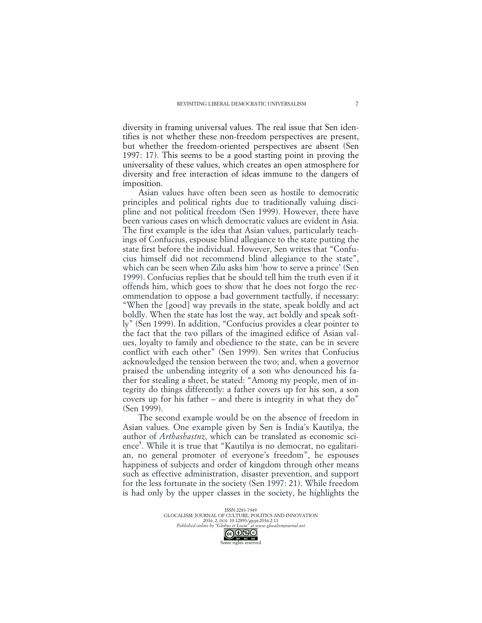diversity in framing universal values. The real issue that Sen identifies is not whether these non-freedom perspectives are present, but whether the freedom-oriented perspectives are absent (Sen 1997: 17). This seems to be a good starting point in proving the universality of these values, which creates an open atmosphere for diversity and free interaction of ideas immune to the dangers of imposition.

Asian values have often been seen as hostile to democratic principles and political rights due to traditionally valuing discipline and not political freedom (Sen 1999). However, there have been various cases on which democratic values are evident in Asia. The first example is the idea that Asian values, particularly teachings of Confucius, espouse blind allegiance to the state putting the state first before the individual. However, Sen writes that "Confucius himself did not recommend blind allegiance to the state", which can be seen when Zilu asks him 'how to serve a prince' (Sen 1999). Confucius replies that he should tell him the truth even if it offends him, which goes to show that he does not forgo the recommendation to oppose a bad government tactfully, if necessary: "When the [good] way prevails in the state, speak boldly and act boldly. When the state has lost the way, act boldly and speak softly" (Sen 1999). In addition, "Confucius provides a clear pointer to the fact that the two pillars of the imagined edifice of Asian values, loyalty to family and obedience to the state, can be in severe conflict with each other" (Sen 1999). Sen writes that Confucius acknowledged the tension between the two; and, when a governor praised the unbending integrity of a son who denounced his father for stealing a sheet, he stated: "Among my people, men of integrity do things differently: a father covers up for his son, a son covers up for his father – and there is integrity in what they do" (Sen 1999).

The second example would be on the absence of freedom in Asian values. One example given by Sen is India's Kautilya, the author of *Arthashastnz*, which can be translated as economic science<sup>5</sup>. While it is true that "Kautilya is no democrat, no egalitarian, no general promoter of everyone's freedom", he espouses happiness of subjects and order of kingdom through other means such as effective administration, disaster prevention, and support for the less fortunate in the society (Sen 1997: 21). While freedom is had only by the upper classes in the society, he highlights the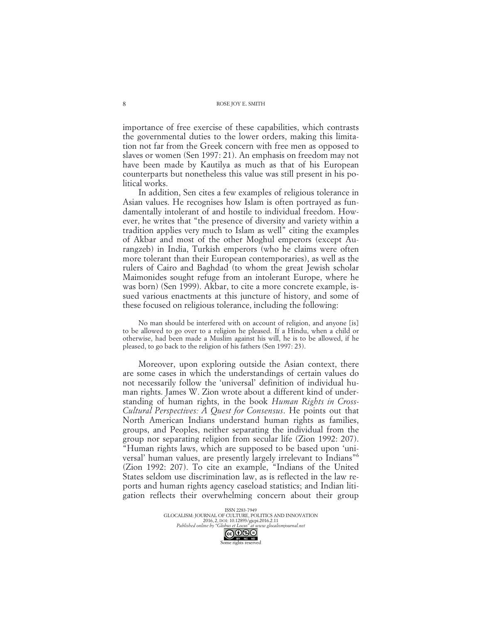importance of free exercise of these capabilities, which contrasts the governmental duties to the lower orders, making this limitation not far from the Greek concern with free men as opposed to slaves or women (Sen 1997: 21). An emphasis on freedom may not have been made by Kautilya as much as that of his European counterparts but nonetheless this value was still present in his political works.

In addition, Sen cites a few examples of religious tolerance in Asian values. He recognises how Islam is often portrayed as fundamentally intolerant of and hostile to individual freedom. However, he writes that "the presence of diversity and variety within a tradition applies very much to Islam as well" citing the examples of Akbar and most of the other Moghul emperors (except Aurangzeb) in India, Turkish emperors (who he claims were often more tolerant than their European contemporaries), as well as the rulers of Cairo and Baghdad (to whom the great Jewish scholar Maimonides sought refuge from an intolerant Europe, where he was born) (Sen 1999). Akbar, to cite a more concrete example, issued various enactments at this juncture of history, and some of these focused on religious tolerance, including the following:

No man should be interfered with on account of religion, and anyone [is] to be allowed to go over to a religion he pleased. If a Hindu, when a child or otherwise, had been made a Muslim against his will, he is to be allowed, if he pleased, to go back to the religion of his fathers (Sen 1997: 23).

Moreover, upon exploring outside the Asian context, there are some cases in which the understandings of certain values do not necessarily follow the 'universal' definition of individual human rights. James W. Zion wrote about a different kind of understanding of human rights, in the book *Human Rights in Cross-Cultural Perspectives: A Quest for Consensus*. He points out that North American Indians understand human rights as families, groups, and Peoples, neither separating the individual from the group nor separating religion from secular life (Zion 1992: 207). "Human rights laws, which are supposed to be based upon 'universal' human values, are presently largely irrelevant to Indians"<sup>6</sup> (Zion 1992: 207). To cite an example, "Indians of the United States seldom use discrimination law, as is reflected in the law reports and human rights agency caseload statistics; and Indian litigation reflects their overwhelming concern about their group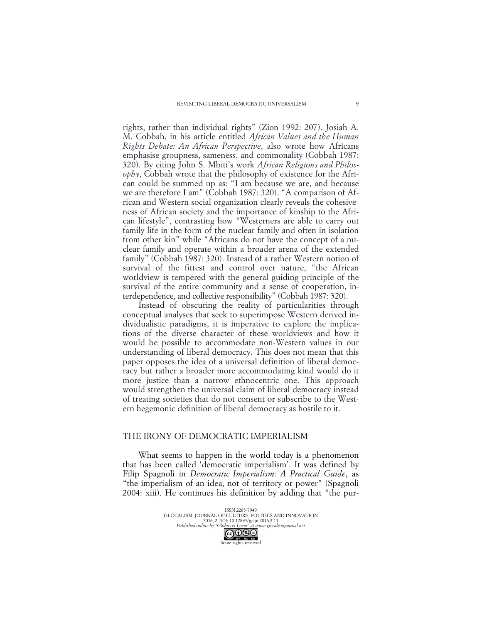rights, rather than individual rights" (Zion 1992: 207). Josiah A. M. Cobbah, in his article entitled *African Values and the Human Rights Debate: An African Perspective*, also wrote how Africans emphasise groupness, sameness, and commonality (Cobbah 1987: 320). By citing John S. Mbiti's work *African Religions and Philosophy*, Cobbah wrote that the philosophy of existence for the African could be summed up as: "I am because we are, and because we are therefore I am" (Cobbah 1987: 320). "A comparison of African and Western social organization clearly reveals the cohesiveness of African society and the importance of kinship to the African lifestyle", contrasting how "Westerners are able to carry out family life in the form of the nuclear family and often in isolation from other kin" while "Africans do not have the concept of a nuclear family and operate within a broader arena of the extended family" (Cobbah 1987: 320). Instead of a rather Western notion of survival of the fittest and control over nature, "the African worldview is tempered with the general guiding principle of the survival of the entire community and a sense of cooperation, interdependence, and collective responsibility" (Cobbah 1987: 320).

Instead of obscuring the reality of particularities through conceptual analyses that seek to superimpose Western derived individualistic paradigms, it is imperative to explore the implications of the diverse character of these worldviews and how it would be possible to accommodate non-Western values in our understanding of liberal democracy. This does not mean that this paper opposes the idea of a universal definition of liberal democracy but rather a broader more accommodating kind would do it more justice than a narrow ethnocentric one. This approach would strengthen the universal claim of liberal democracy instead of treating societies that do not consent or subscribe to the Western hegemonic definition of liberal democracy as hostile to it.

# THE IRONY OF DEMOCRATIC IMPERIALISM

What seems to happen in the world today is a phenomenon that has been called 'democratic imperialism'. It was defined by Filip Spagnoli in *Democratic Imperialism: A Practical Guide*, as "the imperialism of an idea, not of territory or power" (Spagnoli 2004: xiii). He continues his definition by adding that "the pur-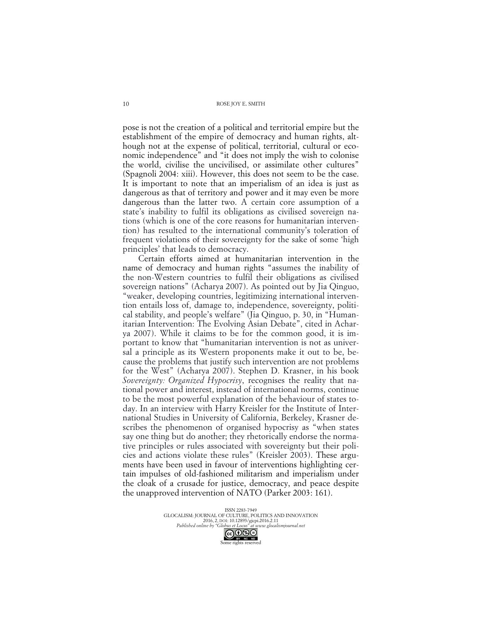#### ROSE JOY E. SMITH

pose is not the creation of a political and territorial empire but the establishment of the empire of democracy and human rights, although not at the expense of political, territorial, cultural or economic independence" and "it does not imply the wish to colonise the world, civilise the uncivilised, or assimilate other cultures" (Spagnoli 2004: xiii). However, this does not seem to be the case. It is important to note that an imperialism of an idea is just as dangerous as that of territory and power and it may even be more dangerous than the latter two. A certain core assumption of a state's inability to fulfil its obligations as civilised sovereign nations (which is one of the core reasons for humanitarian intervention) has resulted to the international community's toleration of frequent violations of their sovereignty for the sake of some 'high principles' that leads to democracy.

Certain efforts aimed at humanitarian intervention in the name of democracy and human rights "assumes the inability of the non-Western countries to fulfil their obligations as civilised sovereign nations" (Acharya 2007). As pointed out by Jia Qinguo, "weaker, developing countries, legitimizing international intervention entails loss of, damage to, independence, sovereignty, political stability, and people's welfare" (Jia Qinguo, p. 30, in "Humanitarian Intervention: The Evolving Asian Debate", cited in Acharya 2007). While it claims to be for the common good, it is important to know that "humanitarian intervention is not as universal a principle as its Western proponents make it out to be, because the problems that justify such intervention are not problems for the West" (Acharya 2007). Stephen D. Krasner, in his book *Sovereignty: Organized Hypocrisy*, recognises the reality that national power and interest, instead of international norms, continue to be the most powerful explanation of the behaviour of states today. In an interview with Harry Kreisler for the Institute of International Studies in University of California, Berkeley, Krasner describes the phenomenon of organised hypocrisy as "when states say one thing but do another; they rhetorically endorse the normative principles or rules associated with sovereignty but their policies and actions violate these rules" (Kreisler 2003). These arguments have been used in favour of interventions highlighting certain impulses of old-fashioned militarism and imperialism under the cloak of a crusade for justice, democracy, and peace despite the unapproved intervention of NATO (Parker 2003: 161).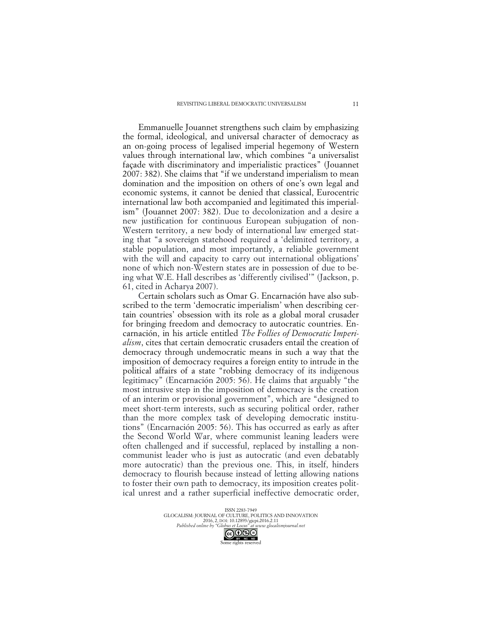Emmanuelle Jouannet strengthens such claim by emphasizing the formal, ideological, and universal character of democracy as an on-going process of legalised imperial hegemony of Western values through international law, which combines "a universalist façade with discriminatory and imperialistic practices" (Jouannet 2007: 382). She claims that "if we understand imperialism to mean domination and the imposition on others of one's own legal and economic systems, it cannot be denied that classical, Eurocentric international law both accompanied and legitimated this imperialism" (Jouannet 2007: 382). Due to decolonization and a desire a new justification for continuous European subjugation of non-Western territory, a new body of international law emerged stating that "a sovereign statehood required a 'delimited territory, a stable population, and most importantly, a reliable government with the will and capacity to carry out international obligations' none of which non-Western states are in possession of due to being what W.E. Hall describes as 'differently civilised'" (Jackson, p. 61, cited in Acharya 2007).

Certain scholars such as Omar G. Encarnación have also subscribed to the term 'democratic imperialism' when describing certain countries' obsession with its role as a global moral crusader for bringing freedom and democracy to autocratic countries. Encarnación, in his article entitled *The Follies of Democratic Imperialism*, cites that certain democratic crusaders entail the creation of democracy through undemocratic means in such a way that the imposition of democracy requires a foreign entity to intrude in the political affairs of a state "robbing democracy of its indigenous legitimacy" (Encarnación 2005: 56). He claims that arguably "the most intrusive step in the imposition of democracy is the creation of an interim or provisional government", which are "designed to meet short-term interests, such as securing political order, rather than the more complex task of developing democratic institutions" (Encarnación 2005: 56). This has occurred as early as after the Second World War, where communist leaning leaders were often challenged and if successful, replaced by installing a noncommunist leader who is just as autocratic (and even debatably more autocratic) than the previous one. This, in itself, hinders democracy to flourish because instead of letting allowing nations to foster their own path to democracy, its imposition creates political unrest and a rather superficial ineffective democratic order,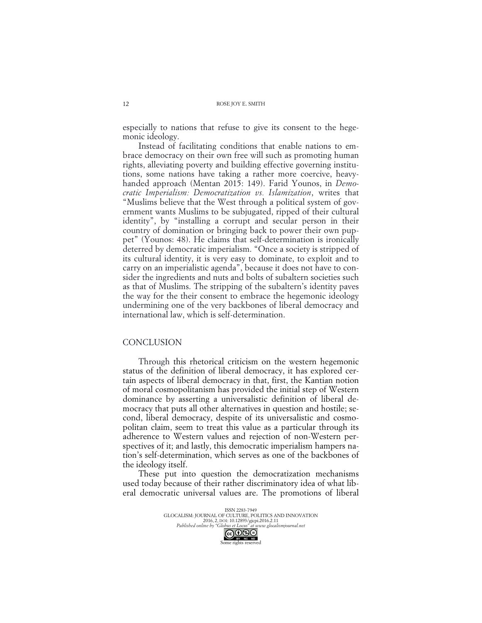especially to nations that refuse to give its consent to the hegemonic ideology.

Instead of facilitating conditions that enable nations to embrace democracy on their own free will such as promoting human rights, alleviating poverty and building effective governing institutions, some nations have taking a rather more coercive, heavyhanded approach (Mentan 2015: 149). Farid Younos, in *Democratic Imperialism: Democratization vs. Islamization*, writes that "Muslims believe that the West through a political system of government wants Muslims to be subjugated, ripped of their cultural identity", by "installing a corrupt and secular person in their country of domination or bringing back to power their own puppet" (Younos: 48). He claims that self-determination is ironically deterred by democratic imperialism. "Once a society is stripped of its cultural identity, it is very easy to dominate, to exploit and to carry on an imperialistic agenda", because it does not have to consider the ingredients and nuts and bolts of subaltern societies such as that of Muslims. The stripping of the subaltern's identity paves the way for the their consent to embrace the hegemonic ideology undermining one of the very backbones of liberal democracy and international law, which is self-determination.

### **CONCLUSION**

Through this rhetorical criticism on the western hegemonic status of the definition of liberal democracy, it has explored certain aspects of liberal democracy in that, first, the Kantian notion of moral cosmopolitanism has provided the initial step of Western dominance by asserting a universalistic definition of liberal democracy that puts all other alternatives in question and hostile; second, liberal democracy, despite of its universalistic and cosmopolitan claim, seem to treat this value as a particular through its adherence to Western values and rejection of non-Western perspectives of it; and lastly, this democratic imperialism hampers nation's self-determination, which serves as one of the backbones of the ideology itself.

These put into question the democratization mechanisms used today because of their rather discriminatory idea of what liberal democratic universal values are. The promotions of liberal

> ISSN 2283-7949 GLOCALISM: JOURNAL OF CULTURE, POLITICS AND INNOVATION 2016, 2, DOI: 10.12893/gjcpi.2016.2.11 *Published online by "Globus et Locus" at www.glocalismjournal.net*  $\bigcirc$   $\bigcirc$   $\bigcirc$ Some rights reserved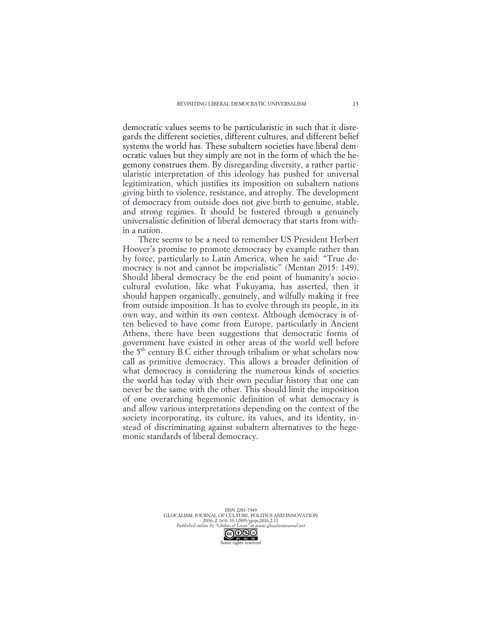democratic values seems to be particularistic in such that it disregards the different societies, different cultures, and different belief systems the world has. These subaltern societies have liberal democratic values but they simply are not in the form of which the hegemony construes them. By disregarding diversity, a rather particularistic interpretation of this ideology has pushed for universal legitimization, which justifies its imposition on subaltern nations giving birth to violence, resistance, and atrophy. The development of democracy from outside does not give birth to genuine, stable, and strong regimes. It should be fostered through a genuinely universalistic definition of liberal democracy that starts from within a nation.

There seems to be a need to remember US President Herbert Hoover's promise to promote democracy by example rather than by force, particularly to Latin America, when he said: "True democracy is not and cannot be imperialistic" (Mentan 2015: 149). Should liberal democracy be the end point of humanity's sociocultural evolution, like what Fukuyama, has asserted, then it should happen organically, genuinely, and wilfully making it free from outside imposition. It has to evolve through its people, in its own way, and within its own context. Although democracy is often believed to have come from Europe, particularly in Ancient Athens, there have been suggestions that democratic forms of government have existed in other areas of the world well before the  $5<sup>th</sup>$  century B.C either through tribalism or what scholars now call as primitive democracy. This allows a broader definition of what democracy is considering the numerous kinds of societies the world has today with their own peculiar history that one can never be the same with the other. This should limit the imposition of one overarching hegemonic definition of what democracy is and allow various interpretations depending on the context of the society incorporating, its culture, its values, and its identity, instead of discriminating against subaltern alternatives to the hegemonic standards of liberal democracy.

> ISSN 2283-7949 GLOCALISM: JOURNAL OF CULTURE, POLITICS AND INNOVATION 2016, 2, DOI: 10.12893/gjcpi.2016.2.11<br>Published online by "Globus et Locus" at www.glocali *Published online by "Globus et Locus" at www.glocalismjournal.net*

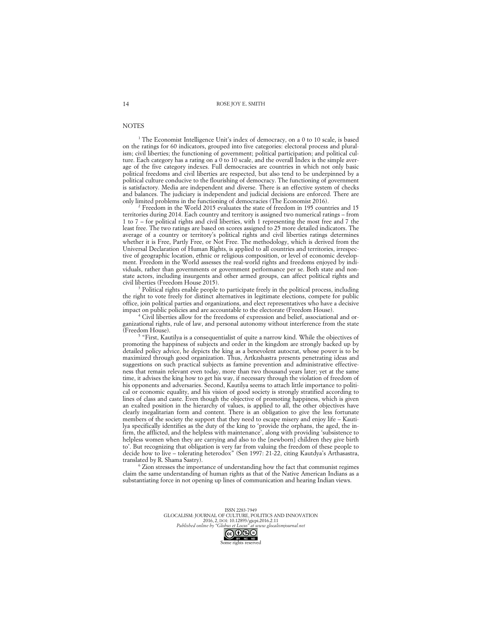ROSE JOY E. SMITH

#### **NOTES**

<sup>1</sup> The Economist Intelligence Unit's index of democracy, on a 0 to 10 scale, is based on the ratings for 60 indicators, grouped into five categories: electoral process and pluralism; civil liberties; the functioning of government; political participation; and political culture. Each category has a rating on a  $\overline{0}$  to 10 scale, and the overall Index is the simple average of the five category indexes. Full democracies are countries in which not only basic political freedoms and civil liberties are respected, but also tend to be underpinned by a political culture conducive to the flourishing of democracy. The functioning of government is satisfactory. Media are independent and diverse. There is an effective system of checks and balances. The judiciary is independent and judicial decisions are enforced. There are only limited problems in the functioning of democracies (The Economist 2016).

<sup>2</sup> Freedom in the World 2015 evaluates the state of freedom in 195 countries and 15 territories during 2014. Each country and territory is assigned two numerical ratings – from 1 to 7 – for political rights and civil liberties, with 1 representing the most free and 7 the least free. The two ratings are based on scores assigned to 25 more detailed indicators. The average of a country or territory's political rights and civil liberties ratings determines whether it is Free, Partly Free, or Not Free. The methodology, which is derived from the Universal Declaration of Human Rights, is applied to all countries and territories, irrespective of geographic location, ethnic or religious composition, or level of economic development. Freedom in the World assesses the real-world rights and freedoms enjoyed by individuals, rather than governments or government performance per se. Both state and nonstate actors, including insurgents and other armed groups, can affect political rights and civil liberties (Freedom House 2015).

<sup>3</sup> Political rights enable people to participate freely in the political process, including the right to vote freely for distinct alternatives in legitimate elections, compete for public office, join political parties and organizations, and elect representatives who have a decisive impact on public policies and are accountable to the electorate (Freedom House).

<sup>4</sup> Civil liberties allow for the freedoms of expression and belief, associational and organizational rights, rule of law, and personal autonomy without interference from the state (Freedom House).

<sup>5</sup> "First, Kautilya is a consequentialist of quite a narrow kind. While the objectives of promoting the happiness of subjects and order in the kingdom are strongly backed up by detailed policy advice, he depicts the king as a benevolent autocrat, whose power is to be maximized through good organization. Thus, Artkzshastra presents penetrating ideas and suggestions on such practical subjects as famine prevention and administrative effectiveness that remain relevant even today, more than two thousand years later; yet at the same time, it advises the king how to get his way, if necessary through the violation of freedom of his opponents and adversaries. Second, Kautilya seems to attach little importance to political or economic equality, and his vision of good society is strongly stratified according to lines of class and caste. Even though the objective of promoting happiness, which is given an exalted position in the hierarchy of values, is applied to all, the other objectives have clearly inegalitarian form and content. There is an obligation to give the less fortunate members of the society the support that they need to escape misery and enjoy life – Kautilya specifically identifies as the duty of the king to 'provide the orphans, the aged, the infirm, the afflicted, and the helpless with maintenance', along with providing 'subsistence to helpless women when they are carrying and also to the [newborn] children they give birth to'. But recognizing that obligation is very far from valuing the freedom of these people to decide how to live – tolerating heterodox" (Sen 1997: 21-22, citing Kautdya's Arthasastra, translated by R. Shama Sastry).

<sup>6</sup> Zion stresses the importance of understanding how the fact that communist regimes claim the same understanding of human rights as that of the Native American Indians as a substantiating force in not opening up lines of communication and hearing Indian views.

> ISSN 2283-7949 GLOCALISM: JOURNAL OF CULTURE, POLITICS AND INNOVATION 2016, 2, DOI: 10.12893/gjcpi.2016.2.11<br>Published online by "Globus et Locus" at www.glocali *Published online by "Globus et Locus" at www.glocalismjournal.net*